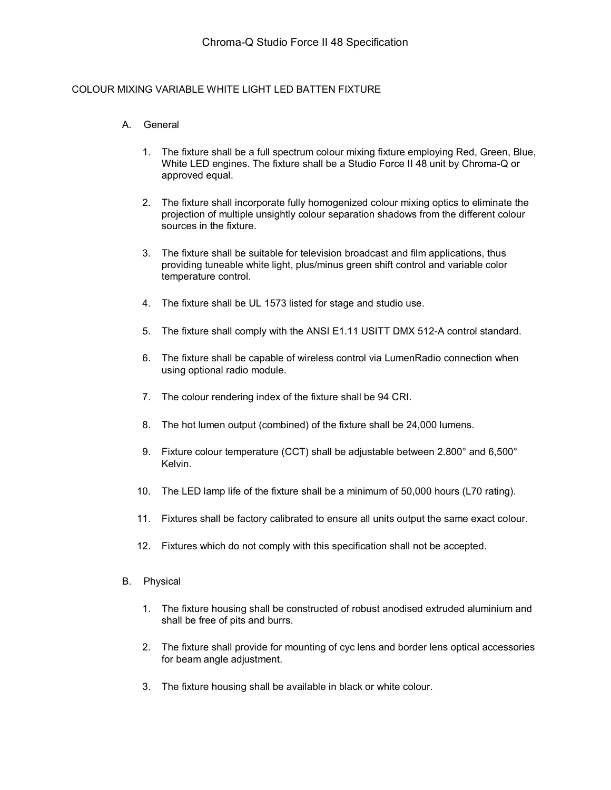## COLOUR MIXING VARIABLE WHITE LIGHT LED BATTEN FIXTURE

## A. General

- 1. The fixture shall be a full spectrum colour mixing fixture employing Red, Green, Blue, White LED engines. The fixture shall be a Studio Force II 48 unit by Chroma-Q or approved equal.
- 2. The fixture shall incorporate fully homogenized colour mixing optics to eliminate the projection of multiple unsightly colour separation shadows from the different colour sources in the fixture.
- 3. The fixture shall be suitable for television broadcast and film applications, thus providing tuneable white light, plus/minus green shift control and variable color temperature control.
- 4. The fixture shall be UL 1573 listed for stage and studio use.
- 5. The fixture shall comply with the ANSI E1.11 USITT DMX 512-A control standard.
- 6. The fixture shall be capable of wireless control via LumenRadio connection when using optional radio module.
- 7. The colour rendering index of the fixture shall be 94 CRI.
- 8. The hot lumen output (combined) of the fixture shall be 24,000 lumens.
- 9. Fixture colour temperature (CCT) shall be adjustable between 2.800° and 6,500° Kelvin.
- 10. The LED lamp life of the fixture shall be a minimum of 50,000 hours (L70 rating).
- 11. Fixtures shall be factory calibrated to ensure all units output the same exact colour.
- 12. Fixtures which do not comply with this specification shall not be accepted.
- B. Physical
	- 1. The fixture housing shall be constructed of robust anodised extruded aluminium and shall be free of pits and burrs.
	- 2. The fixture shall provide for mounting of cyc lens and border lens optical accessories for beam angle adjustment.
	- 3. The fixture housing shall be available in black or white colour.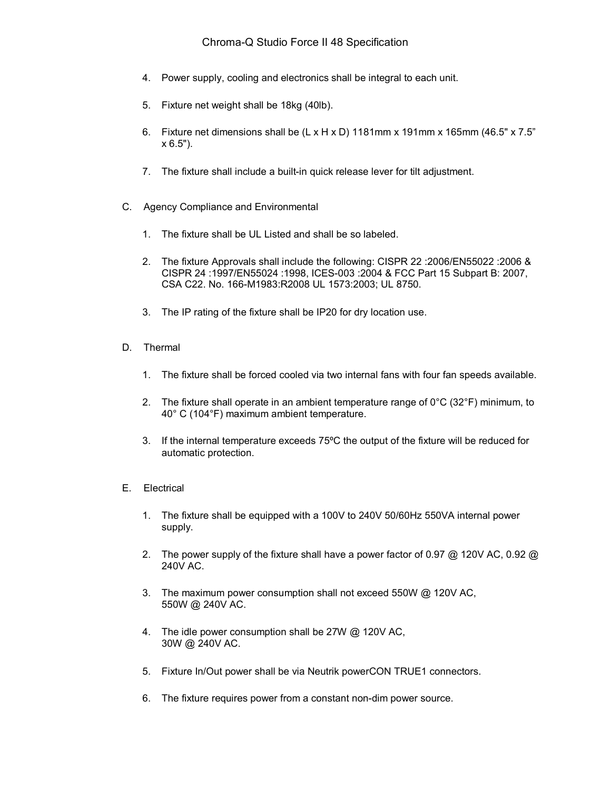- 4. Power supply, cooling and electronics shall be integral to each unit.
- 5. Fixture net weight shall be 18kg (40lb).
- 6. Fixture net dimensions shall be  $(L \times H \times D)$  1181mm x 191mm x 165mm (46.5" x 7.5") x 6.5").
- 7. The fixture shall include a built-in quick release lever for tilt adjustment.
- C. Agency Compliance and Environmental
	- 1. The fixture shall be UL Listed and shall be so labeled.
	- 2. The fixture Approvals shall include the following: CISPR 22 :2006/EN55022 :2006 & CISPR 24 :1997/EN55024 :1998, ICES-003 :2004 & FCC Part 15 Subpart B: 2007, CSA C22. No. 166-M1983:R2008 UL 1573:2003; UL 8750.
	- 3. The IP rating of the fixture shall be IP20 for dry location use.
- D. Thermal
	- 1. The fixture shall be forced cooled via two internal fans with four fan speeds available.
	- 2. The fixture shall operate in an ambient temperature range of  $0^{\circ}C$  (32 $^{\circ}F$ ) minimum, to 40° C (104°F) maximum ambient temperature.
	- 3. If the internal temperature exceeds 75ºC the output of the fixture will be reduced for automatic protection.
- E. Electrical
	- 1. The fixture shall be equipped with a 100V to 240V 50/60Hz 550VA internal power supply.
	- 2. The power supply of the fixture shall have a power factor of 0.97 @ 120V AC, 0.92 @ 240V AC.
	- 3. The maximum power consumption shall not exceed 550W @ 120V AC, 550W @ 240V AC.
	- 4. The idle power consumption shall be 27W @ 120V AC, 30W @ 240V AC.
	- 5. Fixture In/Out power shall be via Neutrik powerCON TRUE1 connectors.
	- 6. The fixture requires power from a constant non-dim power source.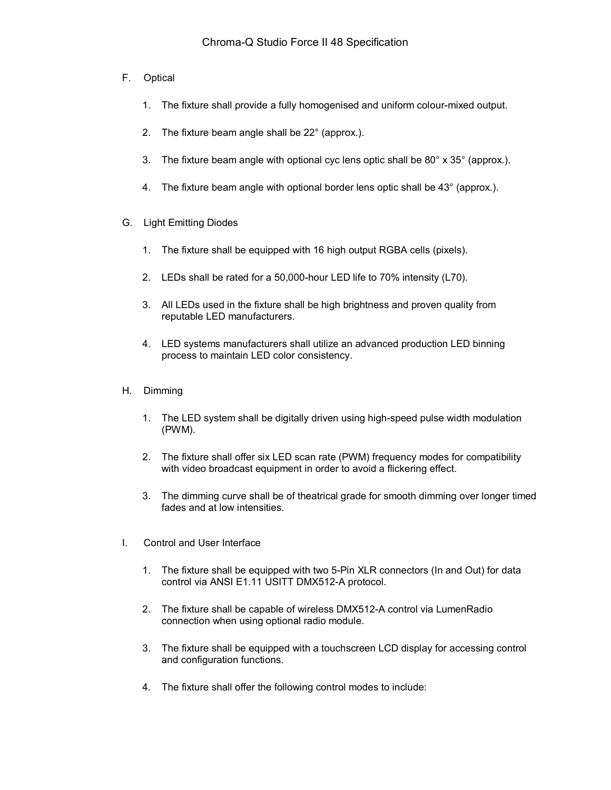- F. Optical
	- 1. The fixture shall provide a fully homogenised and uniform colour-mixed output.
	- 2. The fixture beam angle shall be 22° (approx.).
	- 3. The fixture beam angle with optional cyc lens optic shall be 80° x 35° (approx.).
	- 4. The fixture beam angle with optional border lens optic shall be 43° (approx.).
- G. Light Emitting Diodes
	- 1. The fixture shall be equipped with 16 high output RGBA cells (pixels).
	- 2. LEDs shall be rated for a 50,000-hour LED life to 70% intensity (L70).
	- 3. All LEDs used in the fixture shall be high brightness and proven quality from reputable LED manufacturers.
	- 4. LED systems manufacturers shall utilize an advanced production LED binning process to maintain LED color consistency.
- H. Dimming
	- 1. The LED system shall be digitally driven using high-speed pulse width modulation (PWM).
	- 2. The fixture shall offer six LED scan rate (PWM) frequency modes for compatibility with video broadcast equipment in order to avoid a flickering effect.
	- 3. The dimming curve shall be of theatrical grade for smooth dimming over longer timed fades and at low intensities.
- I. Control and User Interface
	- 1. The fixture shall be equipped with two 5-Pin XLR connectors (In and Out) for data control via ANSI E1.11 USITT DMX512-A protocol.
	- 2. The fixture shall be capable of wireless DMX512-A control via LumenRadio connection when using optional radio module.
	- 3. The fixture shall be equipped with a touchscreen LCD display for accessing control and configuration functions.
	- 4. The fixture shall offer the following control modes to include: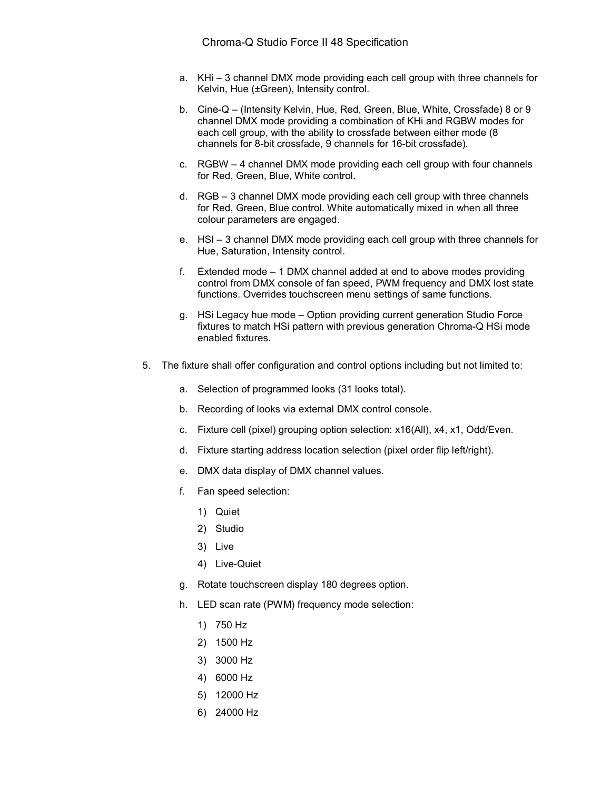- a. KHi 3 channel DMX mode providing each cell group with three channels for Kelvin, Hue (±Green), Intensity control.
- b. Cine-Q (Intensity Kelvin, Hue, Red, Green, Blue, White, Crossfade) 8 or 9 channel DMX mode providing a combination of KHi and RGBW modes for each cell group, with the ability to crossfade between either mode (8 channels for 8-bit crossfade, 9 channels for 16-bit crossfade).
- c. RGBW 4 channel DMX mode providing each cell group with four channels for Red, Green, Blue, White control.
- d. RGB 3 channel DMX mode providing each cell group with three channels for Red, Green, Blue control. White automatically mixed in when all three colour parameters are engaged.
- e. HSI 3 channel DMX mode providing each cell group with three channels for Hue, Saturation, Intensity control.
- f. Extended mode 1 DMX channel added at end to above modes providing control from DMX console of fan speed, PWM frequency and DMX lost state functions. Overrides touchscreen menu settings of same functions.
- g. HSi Legacy hue mode Option providing current generation Studio Force fixtures to match HSi pattern with previous generation Chroma-Q HSi mode enabled fixtures.
- 5. The fixture shall offer configuration and control options including but not limited to:
	- a. Selection of programmed looks (31 looks total).
	- b. Recording of looks via external DMX control console.
	- c. Fixture cell (pixel) grouping option selection: x16(All), x4, x1, Odd/Even.
	- d. Fixture starting address location selection (pixel order flip left/right).
	- e. DMX data display of DMX channel values.
	- f. Fan speed selection:
		- 1) Quiet
		- 2) Studio
		- 3) Live
		- 4) Live-Quiet
	- g. Rotate touchscreen display 180 degrees option.
	- h. LED scan rate (PWM) frequency mode selection:
		- 1) 750 Hz
		- 2) 1500 Hz
		- 3) 3000 Hz
		- 4) 6000 Hz
		- 5) 12000 Hz
		- 6) 24000 Hz